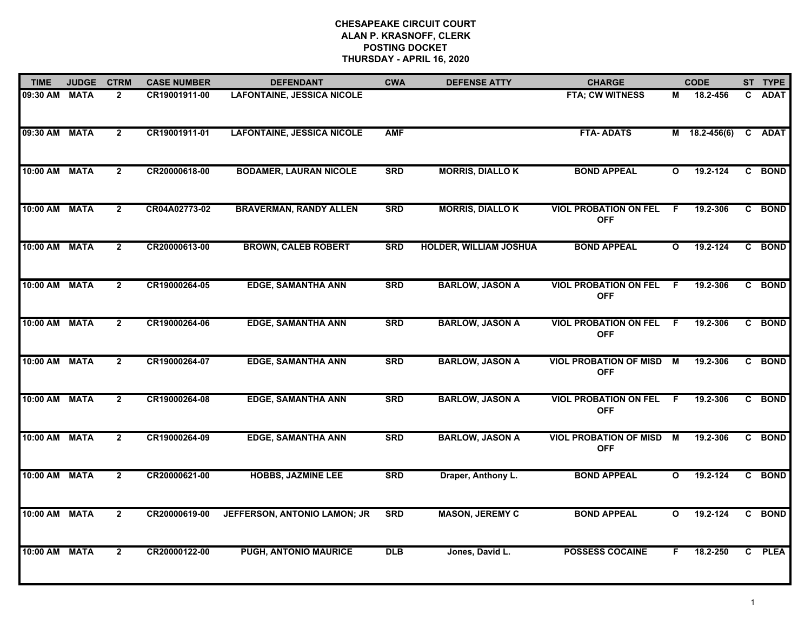## **CHESAPEAKE CIRCUIT COURT ALAN P. KRASNOFF, CLERK POSTING DOCKET THURSDAY - APRIL 16, 2020**

| <b>TIME</b>   | <b>JUDGE</b> | <b>CTRM</b>    | <b>CASE NUMBER</b> | <b>DEFENDANT</b>                  | <b>CWA</b>     | <b>DEFENSE ATTY</b>           | <b>CHARGE</b>                               | <b>CODE</b>  |                 | ST TYPE |
|---------------|--------------|----------------|--------------------|-----------------------------------|----------------|-------------------------------|---------------------------------------------|--------------|-----------------|---------|
| 09:30 AM      | <b>MATA</b>  | $\mathbf{2}$   | CR19001911-00      | <b>LAFONTAINE, JESSICA NICOLE</b> |                |                               | FTA; CW WITNESS                             | М            | 18.2-456        | C ADAT  |
| 09:30 AM      | <b>MATA</b>  | $\overline{2}$ | CR19001911-01      | <b>LAFONTAINE, JESSICA NICOLE</b> | <b>AMF</b>     |                               | <b>FTA-ADATS</b>                            |              | $M$ 18.2-456(6) | C ADAT  |
| 10:00 AM MATA |              | $\mathbf{2}$   | CR20000618-00      | <b>BODAMER, LAURAN NICOLE</b>     | <b>SRD</b>     | <b>MORRIS, DIALLOK</b>        | <b>BOND APPEAL</b>                          | O            | 19.2-124        | C BOND  |
| 10:00 AM MATA |              | $\overline{2}$ | CR04A02773-02      | <b>BRAVERMAN, RANDY ALLEN</b>     | <b>SRD</b>     | <b>MORRIS, DIALLO K</b>       | <b>VIOL PROBATION ON FEL</b><br><b>OFF</b>  | F.           | 19.2-306        | C BOND  |
| 10:00 AM MATA |              | $\overline{2}$ | CR20000613-00      | <b>BROWN, CALEB ROBERT</b>        | <b>SRD</b>     | <b>HOLDER, WILLIAM JOSHUA</b> | <b>BOND APPEAL</b>                          | $\mathbf{o}$ | 19.2-124        | C BOND  |
| 10:00 AM MATA |              | $\mathbf{2}$   | CR19000264-05      | <b>EDGE, SAMANTHA ANN</b>         | <b>SRD</b>     | <b>BARLOW, JASON A</b>        | <b>VIOL PROBATION ON FEL</b><br><b>OFF</b>  | - F          | 19.2-306        | C BOND  |
| 10:00 AM      | <b>MATA</b>  | $\overline{2}$ | CR19000264-06      | <b>EDGE, SAMANTHA ANN</b>         | <b>SRD</b>     | <b>BARLOW, JASON A</b>        | <b>VIOL PROBATION ON FEL</b><br><b>OFF</b>  | F.           | 19.2-306        | C BOND  |
| 10:00 AM MATA |              | $\overline{2}$ | CR19000264-07      | <b>EDGE, SAMANTHA ANN</b>         | <b>SRD</b>     | <b>BARLOW, JASON A</b>        | <b>VIOL PROBATION OF MISD</b><br><b>OFF</b> | M            | 19.2-306        | C BOND  |
| 10:00 AM MATA |              | $\overline{2}$ | CR19000264-08      | <b>EDGE, SAMANTHA ANN</b>         | <b>SRD</b>     | <b>BARLOW, JASON A</b>        | <b>VIOL PROBATION ON FEL</b><br><b>OFF</b>  | F.           | 19.2-306        | C BOND  |
| 10:00 AM MATA |              | $\overline{2}$ | CR19000264-09      | <b>EDGE, SAMANTHA ANN</b>         | <b>SRD</b>     | <b>BARLOW, JASON A</b>        | <b>VIOL PROBATION OF MISD</b><br><b>OFF</b> | M            | 19.2-306        | C BOND  |
| 10:00 AM MATA |              | $\mathbf{2}$   | CR20000621-00      | <b>HOBBS, JAZMINE LEE</b>         | <b>SRD</b>     | Draper, Anthony L.            | <b>BOND APPEAL</b>                          | $\mathbf{o}$ | 19.2-124        | C BOND  |
| 10:00 AM MATA |              | $\overline{2}$ | CR20000619-00      | JEFFERSON, ANTONIO LAMON; JR      | <b>SRD</b>     | <b>MASON, JEREMY C</b>        | <b>BOND APPEAL</b>                          | $\mathbf{o}$ | 19.2-124        | C BOND  |
| 10:00 AM      | <b>MATA</b>  | $\mathbf{2}$   | CR20000122-00      | <b>PUGH, ANTONIO MAURICE</b>      | $\overline{D}$ | Jones, David L.               | <b>POSSESS COCAINE</b>                      | F.           | 18.2-250        | C PLEA  |